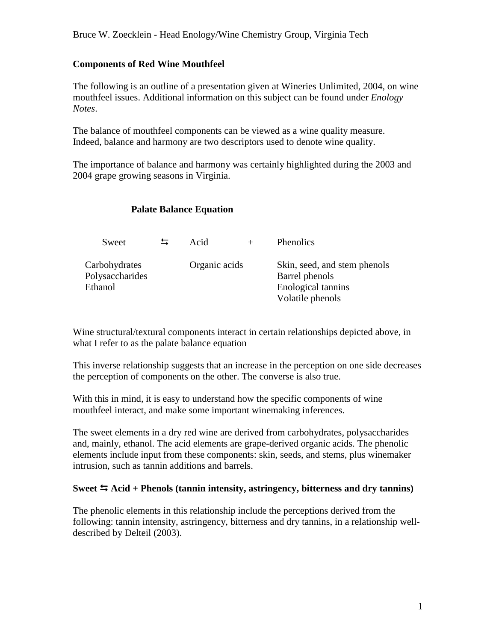## **Components of Red Wine Mouthfeel**

The following is an outline of a presentation given at Wineries Unlimited, 2004, on wine mouthfeel issues. Additional information on this subject can be found under *Enology Notes*.

The balance of mouthfeel components can be viewed as a wine quality measure. Indeed, balance and harmony are two descriptors used to denote wine quality.

The importance of balance and harmony was certainly highlighted during the 2003 and 2004 grape growing seasons in Virginia.

## **Palate Balance Equation**

| Sweet                                       | $\Xi$ | Acid          | <b>Phenolics</b>                                                                         |
|---------------------------------------------|-------|---------------|------------------------------------------------------------------------------------------|
| Carbohydrates<br>Polysaccharides<br>Ethanol |       | Organic acids | Skin, seed, and stem phenols<br>Barrel phenols<br>Enological tannins<br>Volatile phenols |

Wine structural/textural components interact in certain relationships depicted above, in what I refer to as the palate balance equation

This inverse relationship suggests that an increase in the perception on one side decreases the perception of components on the other. The converse is also true.

With this in mind, it is easy to understand how the specific components of wine mouthfeel interact, and make some important winemaking inferences.

The sweet elements in a dry red wine are derived from carbohydrates, polysaccharides and, mainly, ethanol. The acid elements are grape-derived organic acids. The phenolic elements include input from these components: skin, seeds, and stems, plus winemaker intrusion, such as tannin additions and barrels.

## Sweet  $\leq$  Acid + Phenols (tannin intensity, astringency, bitterness and dry tannins)

The phenolic elements in this relationship include the perceptions derived from the following: tannin intensity, astringency, bitterness and dry tannins, in a relationship welldescribed by Delteil (2003).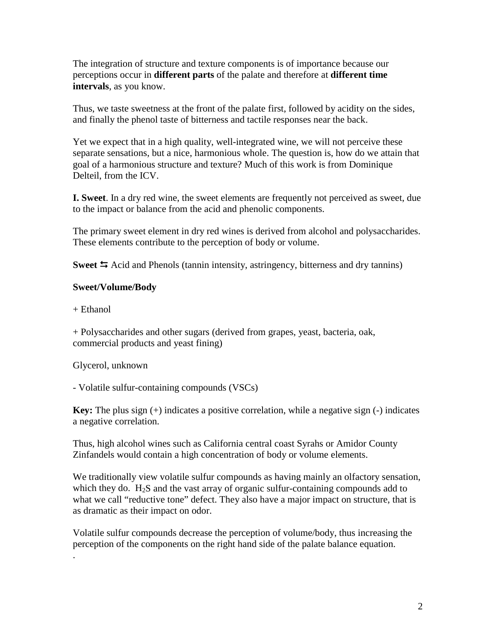The integration of structure and texture components is of importance because our perceptions occur in **different parts** of the palate and therefore at **different time intervals**, as you know.

Thus, we taste sweetness at the front of the palate first, followed by acidity on the sides, and finally the phenol taste of bitterness and tactile responses near the back.

Yet we expect that in a high quality, well-integrated wine, we will not perceive these separate sensations, but a nice, harmonious whole. The question is, how do we attain that goal of a harmonious structure and texture? Much of this work is from Dominique Delteil, from the ICV.

**I. Sweet**. In a dry red wine, the sweet elements are frequently not perceived as sweet, due to the impact or balance from the acid and phenolic components.

The primary sweet element in dry red wines is derived from alcohol and polysaccharides. These elements contribute to the perception of body or volume.

Sweet  $\leq$  Acid and Phenols (tannin intensity, astringency, bitterness and dry tannins)

# **Sweet/Volume/Body**

 $+$  Ethanol

+ Polysaccharides and other sugars (derived from grapes, yeast, bacteria, oak, commercial products and yeast fining)

Glycerol, unknown

- Volatile sulfur-containing compounds (VSCs)

**Key:** The plus sign (+) indicates a positive correlation, while a negative sign (-) indicates a negative correlation.

Thus, high alcohol wines such as California central coast Syrahs or Amidor County Zinfandels would contain a high concentration of body or volume elements.

We traditionally view volatile sulfur compounds as having mainly an olfactory sensation, which they do.  $H_2S$  and the vast array of organic sulfur-containing compounds add to what we call "reductive tone" defect. They also have a major impact on structure, that is as dramatic as their impact on odor.

Volatile sulfur compounds decrease the perception of volume/body, thus increasing the perception of the components on the right hand side of the palate balance equation. .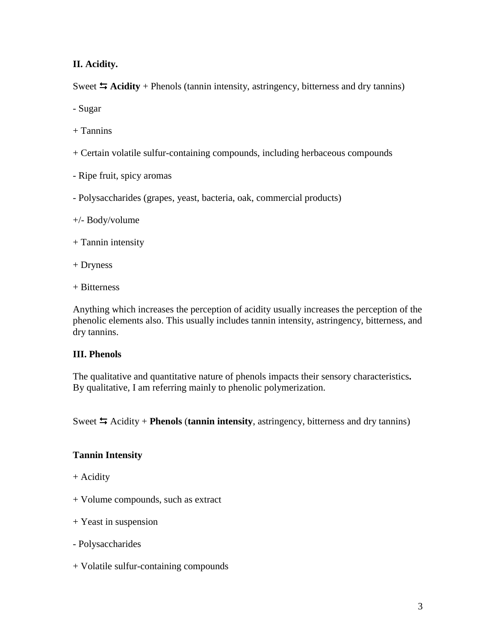**II. Acidity.** 

Sweet  $\blacktriangle$  **Acidity** + Phenols (tannin intensity, astringency, bitterness and dry tannins)

- Sugar

- $+$  Tannins
- + Certain volatile sulfur-containing compounds, including herbaceous compounds
- Ripe fruit, spicy aromas
- Polysaccharides (grapes, yeast, bacteria, oak, commercial products)

## +/- Body/volume

- + Tannin intensity
- + Dryness
- + Bitterness

Anything which increases the perception of acidity usually increases the perception of the phenolic elements also. This usually includes tannin intensity, astringency, bitterness, and dry tannins.

# **III. Phenols**

The qualitative and quantitative nature of phenols impacts their sensory characteristics**.**  By qualitative, I am referring mainly to phenolic polymerization.

Sweet  $\leq$  Acidity + **Phenols** (**tannin intensity**, astringency, bitterness and dry tannins)

# **Tannin Intensity**

- + Acidity
- + Volume compounds, such as extract
- + Yeast in suspension
- Polysaccharides
- + Volatile sulfur-containing compounds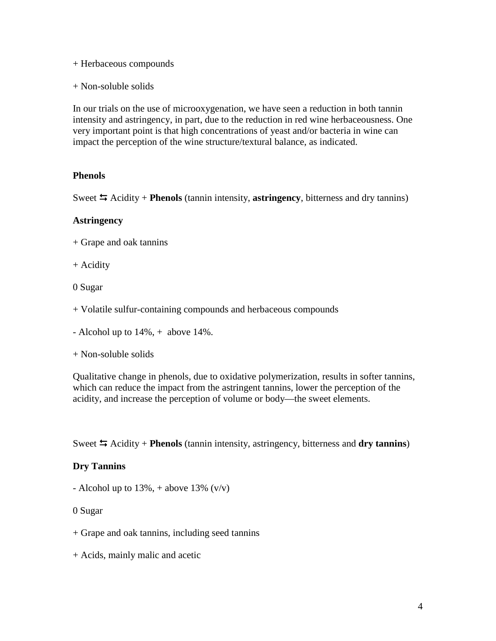- + Herbaceous compounds
- + Non-soluble solids

In our trials on the use of microoxygenation, we have seen a reduction in both tannin intensity and astringency, in part, due to the reduction in red wine herbaceousness. One very important point is that high concentrations of yeast and/or bacteria in wine can impact the perception of the wine structure/textural balance, as indicated.

## **Phenols**

Sweet  $\leq$  Acidity + **Phenols** (tannin intensity, **astringency**, bitterness and dry tannins)

#### **Astringency**

+ Grape and oak tannins

+ Acidity

0 Sugar

- + Volatile sulfur-containing compounds and herbaceous compounds
- Alcohol up to 14%, + above 14%.

+ Non-soluble solids

Qualitative change in phenols, due to oxidative polymerization, results in softer tannins, which can reduce the impact from the astringent tannins, lower the perception of the acidity, and increase the perception of volume or body—the sweet elements.

Sweet  $\leq$  Acidity + **Phenols** (tannin intensity, astringency, bitterness and **dry tannins**)

## **Dry Tannins**

- Alcohol up to  $13\%$ , + above  $13\%$  (v/v)

0 Sugar

+ Grape and oak tannins, including seed tannins

+ Acids, mainly malic and acetic